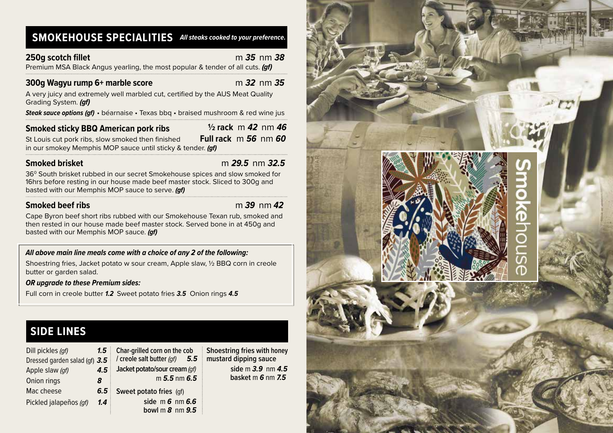# **SMOKEHOUSE SPECIALITIES** *All steaks cooked to your preference.*

### **250g scotch fillet** m *35* nm *38*

Premium MSA Black Angus yearling, the most popular & tender of all cuts. *(gf)*

## **300g Wagyu rump 6+ marble score**m *32* nm *35*

A very juicy and extremely well marbled cut, certified by the AUS Meat Quality Grading System. *(gf)*

*Steak sauce options (gf)* • béarnaise • Texas bbq • braised mushroom & red wine jus

## **Smoked sticky BBQ American pork ribs**

 **½ rack** m *42* nm *46* **Full rack** m *56* nm *60*

St Louis cut pork ribs, slow smoked then finished in our smokey Memphis MOP sauce until sticky & tender. *(gf)*

## **Smoked brisket** m *29.5* nm *32.5*

36<sup>0</sup> South brisket rubbed in our secret Smokehouse spices and slow smoked for 16hrs before resting in our house made beef master stock. Sliced to 300g and basted with our Memphis MOP sauce to serve. *(gf)*

## **Smoked beef ribs** m *39* nm *42*

Cape Byron beef short ribs rubbed with our Smokehouse Texan rub, smoked and then rested in our house made beef master stock. Served bone in at 450g and basted with our Memphis MOP sauce. *(gf)*

### *All above main line meals come with a choice of any 2 of the following:*

Shoestring fries, Jacket potato w sour cream, Apple slaw, ½ BBQ corn in creole butter or garden salad.

### *OR upgrade to these Premium sides:*

Full corn in creole butter *1.2* Sweet potato fries *3.5* Onion rings *4.5*

# **SIDE LINES**

| Dill pickles (gf)<br>Dressed garden salad (gf) 3.5<br>Apple slaw (gf)<br>Onion rings<br>8 | 1.5<br>4.5 | Char-grilled corn on the cob<br>/ creole salt butter (qf)<br>$5.5^{\circ}$<br>Jacket potato/sour cream (qf)<br>$m 5.5$ nm $6.5$ | Shoestring fries with honey<br>mustard dipping sauce<br>side m $3.9 \,$ nm $4.5 \,$<br>basket m 6 nm 7.5 |
|-------------------------------------------------------------------------------------------|------------|---------------------------------------------------------------------------------------------------------------------------------|----------------------------------------------------------------------------------------------------------|
| Mac cheese                                                                                | 6.5        | Sweet potato fries (gf)                                                                                                         |                                                                                                          |
| Pickled jalapeños (qf)                                                                    | 1.4        | side $m$ 6 nm 6.6<br>bowl $m$ $8$ nm $9.5$                                                                                      |                                                                                                          |